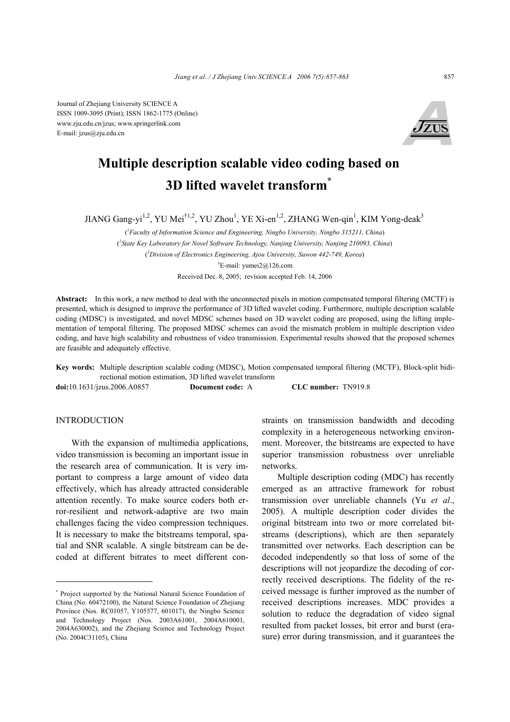Journal of Zhejiang University SCIENCE A ISSN 1009-3095 (Print); ISSN 1862-1775 (Online) www.zju.edu.cn/jzus; www.springerlink.com E-mail: jzus@zju.edu.cn



# **Multiple description scalable video coding based on 3D lifted wavelet transform\***

JIANG Gang-yi<sup>1,2</sup>, YU Mei<sup>†1,2</sup>, YU Zhou<sup>1</sup>, YE Xi-en<sup>1,2</sup>, ZHANG Wen-qin<sup>1</sup>, KIM Yong-deak<sup>3</sup>

( *1 Faculty of Information Science and Engineering, Ningbo University, Ningbo 315211, China*) ( *2 State Key Laboratory for Novel Software Technology, Nanjing University, Nanjing 210093, China*) ( *3 Division of Electronics Engineering, Ajou University, Suwon 442-749, Korea*) † E-mail: yumei2@126.com

Received Dec. 8, 2005; revision accepted Feb. 14, 2006

**Abstract:** In this work, a new method to deal with the unconnected pixels in motion compensated temporal filtering (MCTF) is presented, which is designed to improve the performance of 3D lifted wavelet coding. Furthermore, multiple description scalable coding (MDSC) is investigated, and novel MDSC schemes based on 3D wavelet coding are proposed, using the lifting implementation of temporal filtering. The proposed MDSC schemes can avoid the mismatch problem in multiple description video coding, and have high scalability and robustness of video transmission. Experimental results showed that the proposed schemes are feasible and adequately effective.

**Key words:** Multiple description scalable coding (MDSC), Motion compensated temporal filtering (MCTF), Block-split bidirectional motion estimation, 3D lifted wavelet transform

**doi:**10.1631/jzus.2006.A0857 **Document code:** A **CLC number:** TN919.8

# INTRODUCTION

With the expansion of multimedia applications, video transmission is becoming an important issue in the research area of communication. It is very important to compress a large amount of video data effectively, which has already attracted considerable attention recently. To make source coders both error-resilient and network-adaptive are two main challenges facing the video compression techniques. It is necessary to make the bitstreams temporal, spatial and SNR scalable. A single bitstream can be decoded at different bitrates to meet different constraints on transmission bandwidth and decoding complexity in a heterogeneous networking environment. Moreover, the bitstreams are expected to have superior transmission robustness over unreliable networks.

Multiple description coding (MDC) has recently emerged as an attractive framework for robust transmission over unreliable channels (Yu *et al*., 2005). A multiple description coder divides the original bitstream into two or more correlated bitstreams (descriptions), which are then separately transmitted over networks. Each description can be decoded independently so that loss of some of the descriptions will not jeopardize the decoding of correctly received descriptions. The fidelity of the received message is further improved as the number of received descriptions increases. MDC provides a solution to reduce the degradation of video signal resulted from packet losses, bit error and burst (erasure) error during transmission, and it guarantees the

<sup>\*</sup> Project supported by the National Natural Science Foundation of China (No. 60472100), the Natural Science Foundation of Zhejiang Province (Nos. RC01057, Y105577, 601017), the Ningbo Science and Technology Project (Nos. 2003A61001, 2004A610001, 2004A630002), and the Zhejiang Science and Technology Project (No. 2004C31105), China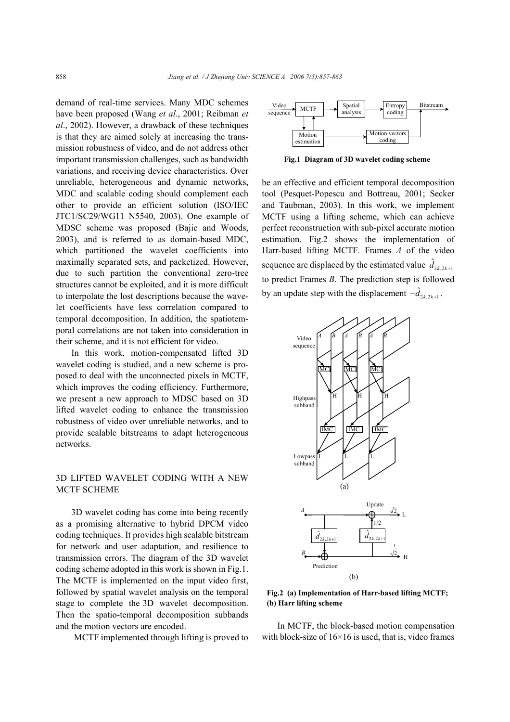demand of real-time services. Many MDC schemes have been proposed (Wang *et al*., 2001; Reibman *et al*., 2002). However, a drawback of these techniques is that they are aimed solely at increasing the transmission robustness of video, and do not address other important transmission challenges, such as bandwidth variations, and receiving device characteristics. Over unreliable, heterogeneous and dynamic networks, MDC and scalable coding should complement each other to provide an efficient solution (ISO/IEC JTC1/SC29/WG11 N5540, 2003). One example of MDSC scheme was proposed (Bajic and Woods, 2003), and is referred to as domain-based MDC, which partitioned the wavelet coefficients into maximally separated sets, and packetized. However, due to such partition the conventional zero-tree structures cannot be exploited, and it is more difficult to interpolate the lost descriptions because the wavelet coefficients have less correlation compared to temporal decomposition. In addition, the spatiotemporal correlations are not taken into consideration in their scheme, and it is not efficient for video.

In this work, motion-compensated lifted 3D wavelet coding is studied, and a new scheme is proposed to deal with the unconnected pixels in MCTF, which improves the coding efficiency. Furthermore, we present a new approach to MDSC based on 3D lifted wavelet coding to enhance the transmission robustness of video over unreliable networks, and to provide scalable bitstreams to adapt heterogeneous networks.

# 3D LIFTED WAVELET CODING WITH A NEW MCTF SCHEME

3D wavelet coding has come into being recently as a promising alternative to hybrid DPCM video coding techniques. It provides high scalable bitstream for network and user adaptation, and resilience to transmission errors. The diagram of the 3D wavelet coding scheme adopted in this work is shown in Fig.1. The MCTF is implemented on the input video first, followed by spatial wavelet analysis on the temporal stage to complete the 3D wavelet decomposition. Then the spatio-temporal decomposition subbands and the motion vectors are encoded.

MCTF implemented through lifting is proved to



**Fig.1 Diagram of 3D wavelet coding scheme** 

be an effective and efficient temporal decomposition tool (Pesquet-Popescu and Bottreau, 2001; Secker and Taubman, 2003). In this work, we implement MCTF using a lifting scheme, which can achieve perfect reconstruction with sub-pixel accurate motion estimation. Fig.2 shows the implementation of Harr-based lifting MCTF. Frames *A* of the video sequence are displaced by the estimated value  $\hat{d}_{2k,2k+1}$ to predict Frames *B*. The prediction step is followed by an update step with the displacement  $-\hat{d}_{2k, 2k+1}$ .



**Fig.2 (a) Implementation of Harr-based lifting MCTF; (b) Harr lifting scheme** 

In MCTF, the block-based motion compensation with block-size of  $16\times16$  is used, that is, video frames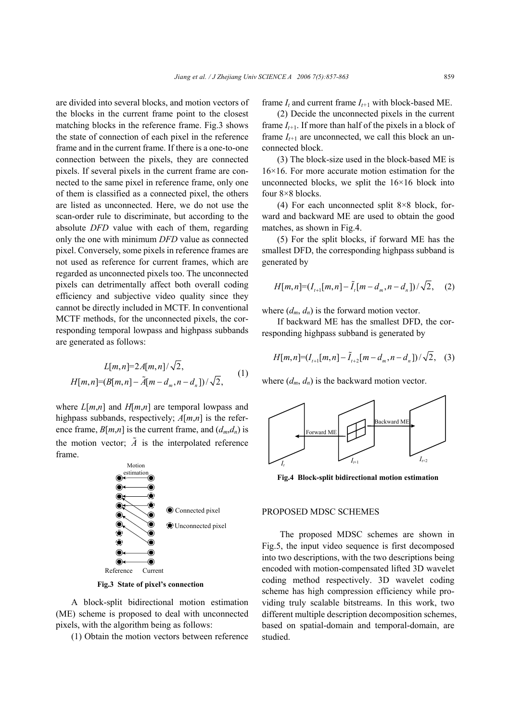are divided into several blocks, and motion vectors of the blocks in the current frame point to the closest matching blocks in the reference frame. Fig.3 shows the state of connection of each pixel in the reference frame and in the current frame. If there is a one-to-one connection between the pixels, they are connected pixels. If several pixels in the current frame are connected to the same pixel in reference frame, only one of them is classified as a connected pixel, the others are listed as unconnected. Here, we do not use the scan-order rule to discriminate, but according to the absolute *DFD* value with each of them, regarding only the one with minimum *DFD* value as connected pixel. Conversely, some pixels in reference frames are not used as reference for current frames, which are regarded as unconnected pixels too. The unconnected pixels can detrimentally affect both overall coding efficiency and subjective video quality since they cannot be directly included in MCTF. In conventional MCTF methods, for the unconnected pixels, the corresponding temporal lowpass and highpass subbands are generated as follows:

$$
L[m,n]=2A[m,n]/\sqrt{2},
$$
  
H[m,n]=[B[m,n]- $\tilde{A}[m-d_m,n-d_n]/\sqrt{2},$  (1)

where  $L[m,n]$  and  $H[m,n]$  are temporal lowpass and highpass subbands, respectively; *A*[*m*,*n*] is the reference frame,  $B[m,n]$  is the current frame, and  $(d_m, d_n)$  is the motion vector;  $\tilde{A}$  is the interpolated reference frame.



**Fig.3 State of pixel's connection** 

A block-split bidirectional motion estimation (ME) scheme is proposed to deal with unconnected pixels, with the algorithm being as follows:

(1) Obtain the motion vectors between reference

frame  $I_t$  and current frame  $I_{t+1}$  with block-based ME.

(2) Decide the unconnected pixels in the current frame  $I_{t+1}$ . If more than half of the pixels in a block of frame  $I_{t+1}$  are unconnected, we call this block an unconnected block.

(3) The block-size used in the block-based ME is  $16\times16$ . For more accurate motion estimation for the unconnected blocks, we split the 16×16 block into four 8×8 blocks.

(4) For each unconnected split 8×8 block, forward and backward ME are used to obtain the good matches, as shown in Fig.4.

(5) For the split blocks, if forward ME has the smallest DFD, the corresponding highpass subband is generated by

$$
H[m,n]=[I_{t+1}[m,n]-\tilde{I}_t[m-d_m,n-d_n])/\sqrt{2}, \quad (2)
$$

where  $(d_m, d_n)$  is the forward motion vector.

If backward ME has the smallest DFD, the corresponding highpass subband is generated by

$$
H[m,n]=[I_{t+1}[m,n]-\tilde{I}_{t+2}[m-d_m,n-d_n])/\sqrt{2}, (3)
$$

where  $(d_m, d_n)$  is the backward motion vector.



**Fig.4 Block-split bidirectional motion estimation** 

## PROPOSED MDSC SCHEMES

The proposed MDSC schemes are shown in Fig.5, the input video sequence is first decomposed into two descriptions, with the two descriptions being encoded with motion-compensated lifted 3D wavelet coding method respectively. 3D wavelet coding scheme has high compression efficiency while providing truly scalable bitstreams. In this work, two different multiple description decomposition schemes, based on spatial-domain and temporal-domain, are studied.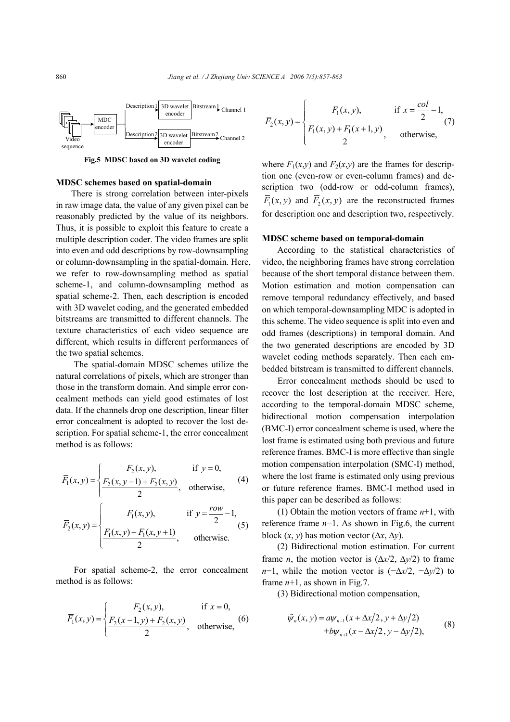

**Fig.5 MDSC based on 3D wavelet coding** 

#### **MDSC schemes based on spatial-domain**

There is strong correlation between inter-pixels in raw image data, the value of any given pixel can be reasonably predicted by the value of its neighbors. Thus, it is possible to exploit this feature to create a multiple description coder. The video frames are split into even and odd descriptions by row-downsampling or column-downsampling in the spatial-domain. Here, we refer to row-downsampling method as spatial scheme-1, and column-downsampling method as spatial scheme-2. Then, each description is encoded with 3D wavelet coding, and the generated embedded bitstreams are transmitted to different channels. The texture characteristics of each video sequence are different, which results in different performances of the two spatial schemes.

The spatial-domain MDSC schemes utilize the natural correlations of pixels, which are stronger than those in the transform domain. And simple error concealment methods can yield good estimates of lost data. If the channels drop one description, linear filter error concealment is adopted to recover the lost description. For spatial scheme-1, the error concealment method is as follows:

$$
\overline{F}_1(x, y) = \begin{cases}\nF_2(x, y), & \text{if } y = 0, \\
\frac{F_2(x, y - 1) + F_2(x, y)}{2}, & \text{otherwise,} \\
\overline{F}_2(x, y) = \begin{cases}\nF_1(x, y), & \text{if } y = \frac{row}{2} - 1, \\
\frac{F_1(x, y) + F_1(x, y + 1)}{2}, & \text{otherwise.} \\
\end{cases}
$$
\n(4)

For spatial scheme-2, the error concealment method is as follows:

$$
\overline{F}_1(x, y) = \begin{cases}\nF_2(x, y), & \text{if } x = 0, \\
\frac{F_2(x - 1, y) + F_2(x, y)}{2}, & \text{otherwise,} \n\end{cases}
$$
\n(6)

$$
\overline{F}_2(x, y) = \begin{cases}\nF_1(x, y), & \text{if } x = \frac{col}{2} - 1, \\
\frac{F_1(x, y) + F_1(x + 1, y)}{2}, & \text{otherwise,} \n\end{cases}
$$
\n(7)

where  $F_1(x,y)$  and  $F_2(x,y)$  are the frames for description one (even-row or even-column frames) and description two (odd-row or odd-column frames),  $\overline{F}_1(x, y)$  and  $\overline{F}_2(x, y)$  are the reconstructed frames for description one and description two, respectively.

#### **MDSC scheme based on temporal-domain**

According to the statistical characteristics of video, the neighboring frames have strong correlation because of the short temporal distance between them. Motion estimation and motion compensation can remove temporal redundancy effectively, and based on which temporal-downsampling MDC is adopted in this scheme. The video sequence is split into even and odd frames (descriptions) in temporal domain. And the two generated descriptions are encoded by 3D wavelet coding methods separately. Then each embedded bitstream is transmitted to different channels.

Error concealment methods should be used to recover the lost description at the receiver. Here, according to the temporal-domain MDSC scheme, bidirectional motion compensation interpolation (BMC-I) error concealment scheme is used, where the lost frame is estimated using both previous and future reference frames. BMC-I is more effective than single motion compensation interpolation (SMC-I) method, where the lost frame is estimated only using previous or future reference frames. BMC-I method used in this paper can be described as follows:

(1) Obtain the motion vectors of frame *n*+1, with reference frame *n*−1. As shown in Fig.6, the current block  $(x, y)$  has motion vector  $(\Delta x, \Delta y)$ .

(2) Bidirectional motion estimation. For current frame *n*, the motion vector is  $(\Delta x/2, \Delta y/2)$  to frame *n*−1, while the motion vector is (−∆*x*/2, −∆*y*/2) to frame  $n+1$ , as shown in Fig.7.

(3) Bidirectional motion compensation,

$$
\tilde{\psi}_n(x, y) = a\psi_{n-1}(x + \Delta x/2, y + \Delta y/2) \n+ b\psi_{n+1}(x - \Delta x/2, y - \Delta y/2),
$$
\n(8)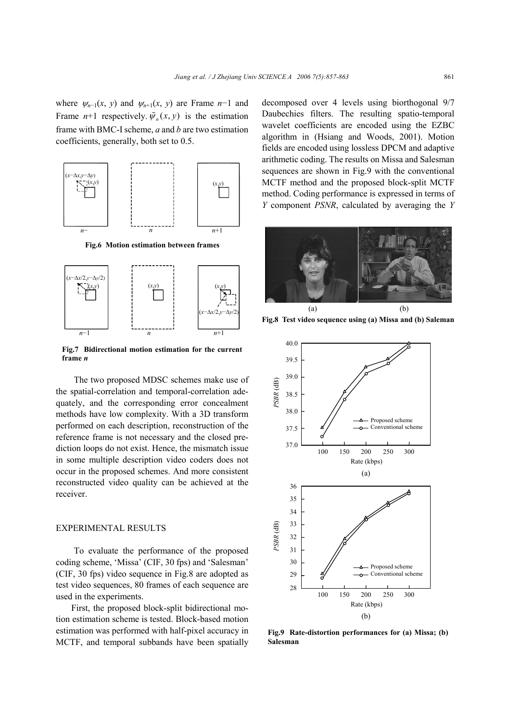where  $\psi_{n-1}(x, y)$  and  $\psi_{n+1}(x, y)$  are Frame *n*−1 and Frame  $n+1$  respectively.  $\tilde{\psi}_n(x, y)$  is the estimation frame with BMC-I scheme, *a* and *b* are two estimation coefficients, generally, both set to 0.5.



**Fig.6 Motion estimation between frames** 



**Fig.7 Bidirectional motion estimation for the current frame** *n*

The two proposed MDSC schemes make use of the spatial-correlation and temporal-correlation adequately, and the corresponding error concealment methods have low complexity. With a 3D transform performed on each description, reconstruction of the reference frame is not necessary and the closed prediction loops do not exist. Hence, the mismatch issue in some multiple description video coders does not occur in the proposed schemes. And more consistent reconstructed video quality can be achieved at the receiver.

## EXPERIMENTAL RESULTS

To evaluate the performance of the proposed coding scheme, 'Missa' (CIF, 30 fps) and 'Salesman' (CIF, 30 fps) video sequence in Fig.8 are adopted as test video sequences, 80 frames of each sequence are used in the experiments.

First, the proposed block-split bidirectional motion estimation scheme is tested. Block-based motion estimation was performed with half-pixel accuracy in MCTF, and temporal subbands have been spatially decomposed over 4 levels using biorthogonal 9/7 Daubechies filters. The resulting spatio-temporal wavelet coefficients are encoded using the EZBC algorithm in (Hsiang and Woods, 2001). Motion fields are encoded using lossless DPCM and adaptive arithmetic coding. The results on Missa and Salesman sequences are shown in Fig.9 with the conventional MCTF method and the proposed block-split MCTF method. Coding performance is expressed in terms of *Y* component *PSNR*, calculated by averaging the *Y*



**Fig.8 Test video sequence using (a) Missa and (b) Saleman** 



**Fig.9 Rate-distortion performances for (a) Missa; (b) Salesman**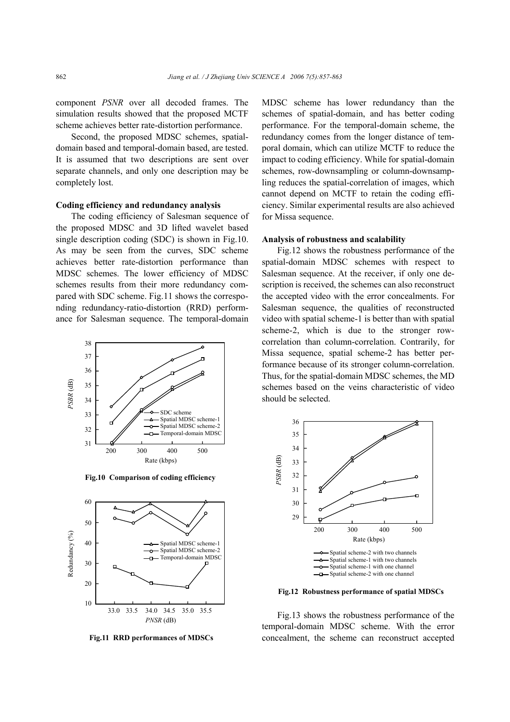component *PSNR* over all decoded frames. The simulation results showed that the proposed MCTF scheme achieves better rate-distortion performance.

Second, the proposed MDSC schemes, spatialdomain based and temporal-domain based, are tested. It is assumed that two descriptions are sent over separate channels, and only one description may be completely lost.

## **Coding efficiency and redundancy analysis**

The coding efficiency of Salesman sequence of the proposed MDSC and 3D lifted wavelet based single description coding (SDC) is shown in Fig.10. As may be seen from the curves, SDC scheme achieves better rate-distortion performance than MDSC schemes. The lower efficiency of MDSC schemes results from their more redundancy compared with SDC scheme. Fig.11 shows the corresponding redundancy-ratio-distortion (RRD) performance for Salesman sequence. The temporal-domain



**Fig.10 Comparison of coding efficiency**



**Fig.11 RRD performances of MDSCs**

MDSC scheme has lower redundancy than the schemes of spatial-domain, and has better coding performance. For the temporal-domain scheme, the redundancy comes from the longer distance of temporal domain, which can utilize MCTF to reduce the impact to coding efficiency. While for spatial-domain schemes, row-downsampling or column-downsampling reduces the spatial-correlation of images, which cannot depend on MCTF to retain the coding efficiency. Similar experimental results are also achieved for Missa sequence.

### **Analysis of robustness and scalability**

Fig.12 shows the robustness performance of the spatial-domain MDSC schemes with respect to Salesman sequence. At the receiver, if only one description is received, the schemes can also reconstruct the accepted video with the error concealments. For Salesman sequence, the qualities of reconstructed video with spatial scheme-1 is better than with spatial scheme-2, which is due to the stronger rowcorrelation than column-correlation. Contrarily, for Missa sequence, spatial scheme-2 has better performance because of its stronger column-correlation. Thus, for the spatial-domain MDSC schemes, the MD schemes based on the veins characteristic of video should be selected.



**Fig.12 Robustness performance of spatial MDSCs**

Fig.13 shows the robustness performance of the temporal-domain MDSC scheme. With the error concealment, the scheme can reconstruct accepted